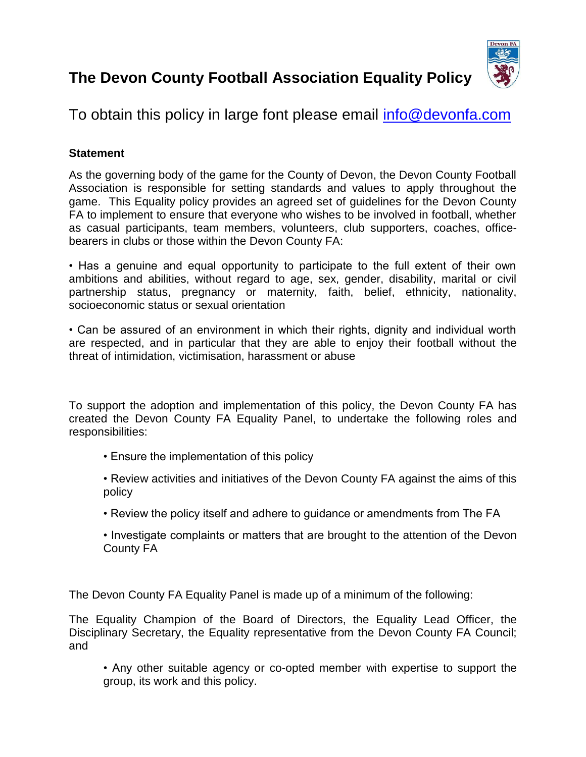# **The Devon County Football Association Equality Policy**



## To obtain this policy in large font please email [info@devonfa.com](mailto:info@devonfa.com)

## **Statement**

As the governing body of the game for the County of Devon, the Devon County Football Association is responsible for setting standards and values to apply throughout the game. This Equality policy provides an agreed set of guidelines for the Devon County FA to implement to ensure that everyone who wishes to be involved in football, whether as casual participants, team members, volunteers, club supporters, coaches, officebearers in clubs or those within the Devon County FA:

• Has a genuine and equal opportunity to participate to the full extent of their own ambitions and abilities, without regard to age, sex, gender, disability, marital or civil partnership status, pregnancy or maternity, faith, belief, ethnicity, nationality, socioeconomic status or sexual orientation

• Can be assured of an environment in which their rights, dignity and individual worth are respected, and in particular that they are able to enjoy their football without the threat of intimidation, victimisation, harassment or abuse

To support the adoption and implementation of this policy, the Devon County FA has created the Devon County FA Equality Panel, to undertake the following roles and responsibilities:

- Ensure the implementation of this policy
- Review activities and initiatives of the Devon County FA against the aims of this policy
- Review the policy itself and adhere to guidance or amendments from The FA
- Investigate complaints or matters that are brought to the attention of the Devon County FA

The Devon County FA Equality Panel is made up of a minimum of the following:

The Equality Champion of the Board of Directors, the Equality Lead Officer, the Disciplinary Secretary, the Equality representative from the Devon County FA Council; and

• Any other suitable agency or co-opted member with expertise to support the group, its work and this policy.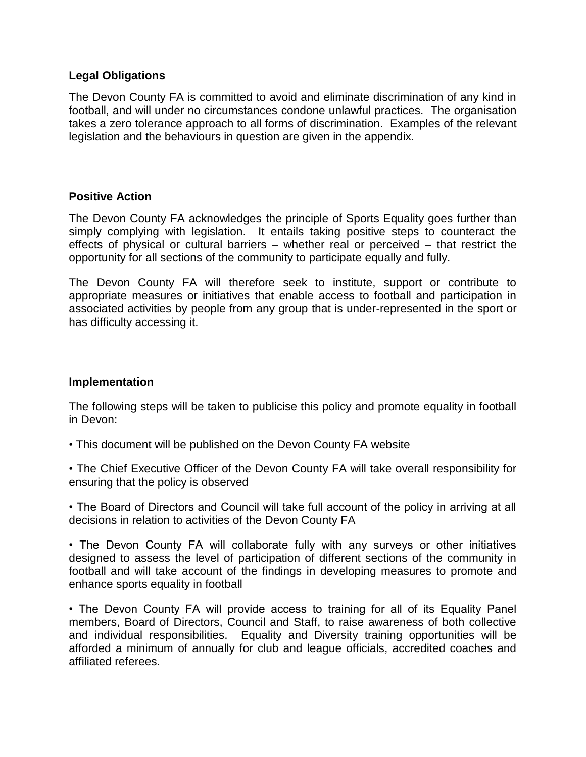## **Legal Obligations**

The Devon County FA is committed to avoid and eliminate discrimination of any kind in football, and will under no circumstances condone unlawful practices. The organisation takes a zero tolerance approach to all forms of discrimination. Examples of the relevant legislation and the behaviours in question are given in the appendix.

#### **Positive Action**

The Devon County FA acknowledges the principle of Sports Equality goes further than simply complying with legislation. It entails taking positive steps to counteract the effects of physical or cultural barriers – whether real or perceived – that restrict the opportunity for all sections of the community to participate equally and fully.

The Devon County FA will therefore seek to institute, support or contribute to appropriate measures or initiatives that enable access to football and participation in associated activities by people from any group that is under-represented in the sport or has difficulty accessing it.

## **Implementation**

The following steps will be taken to publicise this policy and promote equality in football in Devon:

- This document will be published on the Devon County FA website
- The Chief Executive Officer of the Devon County FA will take overall responsibility for ensuring that the policy is observed
- The Board of Directors and Council will take full account of the policy in arriving at all decisions in relation to activities of the Devon County FA

• The Devon County FA will collaborate fully with any surveys or other initiatives designed to assess the level of participation of different sections of the community in football and will take account of the findings in developing measures to promote and enhance sports equality in football

• The Devon County FA will provide access to training for all of its Equality Panel members, Board of Directors, Council and Staff, to raise awareness of both collective and individual responsibilities. Equality and Diversity training opportunities will be afforded a minimum of annually for club and league officials, accredited coaches and affiliated referees.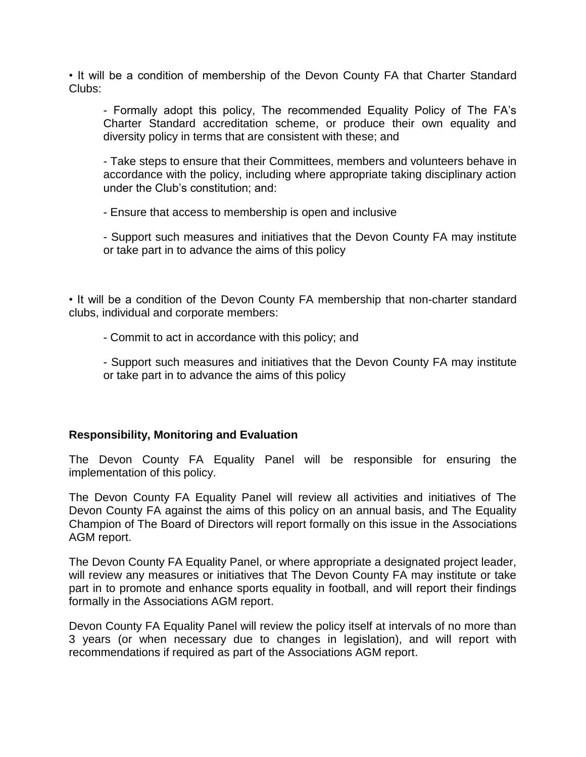• It will be a condition of membership of the Devon County FA that Charter Standard Clubs:

- Formally adopt this policy, The recommended Equality Policy of The FA's Charter Standard accreditation scheme, or produce their own equality and diversity policy in terms that are consistent with these; and

- Take steps to ensure that their Committees, members and volunteers behave in accordance with the policy, including where appropriate taking disciplinary action under the Club's constitution; and:

- Ensure that access to membership is open and inclusive

- Support such measures and initiatives that the Devon County FA may institute or take part in to advance the aims of this policy

• It will be a condition of the Devon County FA membership that non-charter standard clubs, individual and corporate members:

- Commit to act in accordance with this policy; and

- Support such measures and initiatives that the Devon County FA may institute or take part in to advance the aims of this policy

## **Responsibility, Monitoring and Evaluation**

The Devon County FA Equality Panel will be responsible for ensuring the implementation of this policy.

The Devon County FA Equality Panel will review all activities and initiatives of The Devon County FA against the aims of this policy on an annual basis, and The Equality Champion of The Board of Directors will report formally on this issue in the Associations AGM report.

The Devon County FA Equality Panel, or where appropriate a designated project leader, will review any measures or initiatives that The Devon County FA may institute or take part in to promote and enhance sports equality in football, and will report their findings formally in the Associations AGM report.

Devon County FA Equality Panel will review the policy itself at intervals of no more than 3 years (or when necessary due to changes in legislation), and will report with recommendations if required as part of the Associations AGM report.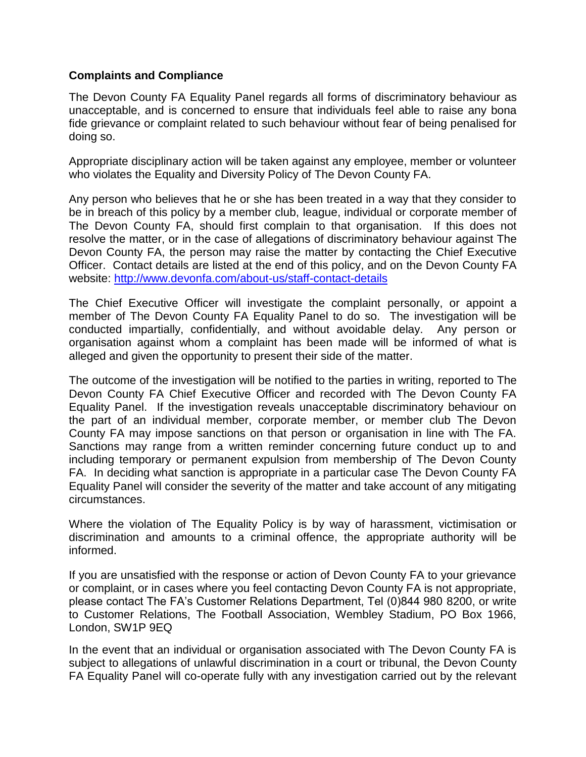## **Complaints and Compliance**

The Devon County FA Equality Panel regards all forms of discriminatory behaviour as unacceptable, and is concerned to ensure that individuals feel able to raise any bona fide grievance or complaint related to such behaviour without fear of being penalised for doing so.

Appropriate disciplinary action will be taken against any employee, member or volunteer who violates the Equality and Diversity Policy of The Devon County FA.

Any person who believes that he or she has been treated in a way that they consider to be in breach of this policy by a member club, league, individual or corporate member of The Devon County FA, should first complain to that organisation. If this does not resolve the matter, or in the case of allegations of discriminatory behaviour against The Devon County FA, the person may raise the matter by contacting the Chief Executive Officer. Contact details are listed at the end of this policy, and on the Devon County FA website: <http://www.devonfa.com/about-us/staff-contact-details>

The Chief Executive Officer will investigate the complaint personally, or appoint a member of The Devon County FA Equality Panel to do so. The investigation will be conducted impartially, confidentially, and without avoidable delay. Any person or organisation against whom a complaint has been made will be informed of what is alleged and given the opportunity to present their side of the matter.

The outcome of the investigation will be notified to the parties in writing, reported to The Devon County FA Chief Executive Officer and recorded with The Devon County FA Equality Panel. If the investigation reveals unacceptable discriminatory behaviour on the part of an individual member, corporate member, or member club The Devon County FA may impose sanctions on that person or organisation in line with The FA. Sanctions may range from a written reminder concerning future conduct up to and including temporary or permanent expulsion from membership of The Devon County FA. In deciding what sanction is appropriate in a particular case The Devon County FA Equality Panel will consider the severity of the matter and take account of any mitigating circumstances.

Where the violation of The Equality Policy is by way of harassment, victimisation or discrimination and amounts to a criminal offence, the appropriate authority will be informed.

If you are unsatisfied with the response or action of Devon County FA to your grievance or complaint, or in cases where you feel contacting Devon County FA is not appropriate, please contact The FA's Customer Relations Department, Tel (0)844 980 8200, or write to Customer Relations, The Football Association, Wembley Stadium, PO Box 1966, London, SW1P 9EQ

In the event that an individual or organisation associated with The Devon County FA is subject to allegations of unlawful discrimination in a court or tribunal, the Devon County FA Equality Panel will co-operate fully with any investigation carried out by the relevant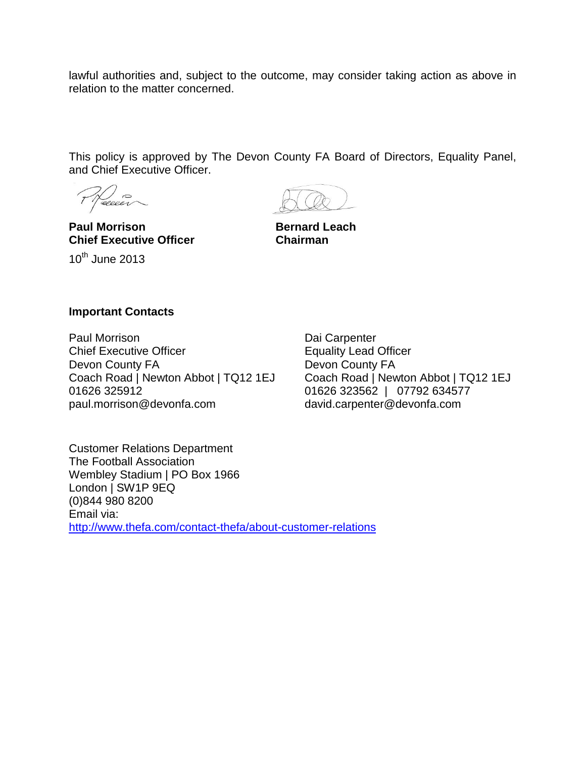lawful authorities and, subject to the outcome, may consider taking action as above in relation to the matter concerned.

This policy is approved by The Devon County FA Board of Directors, Equality Panel, and Chief Executive Officer.

Necesi

**Paul Morrison Bernard Leach Chief Executive Officer Chairman**  $10^{th}$  June 2013

#### **Important Contacts**

Paul Morrison Chief Executive Officer Devon County FA Coach Road | Newton Abbot | TQ12 1EJ 01626 325912 paul.morrison@devonfa.com

Dai Carpenter Equality Lead Officer Devon County FA Coach Road | Newton Abbot | TQ12 1EJ 01626 323562 | 07792 634577 david.carpenter@devonfa.com

Customer Relations Department The Football Association Wembley Stadium | PO Box 1966 London | SW1P 9EQ (0)844 980 8200 Email via: <http://www.thefa.com/contact-thefa/about-customer-relations>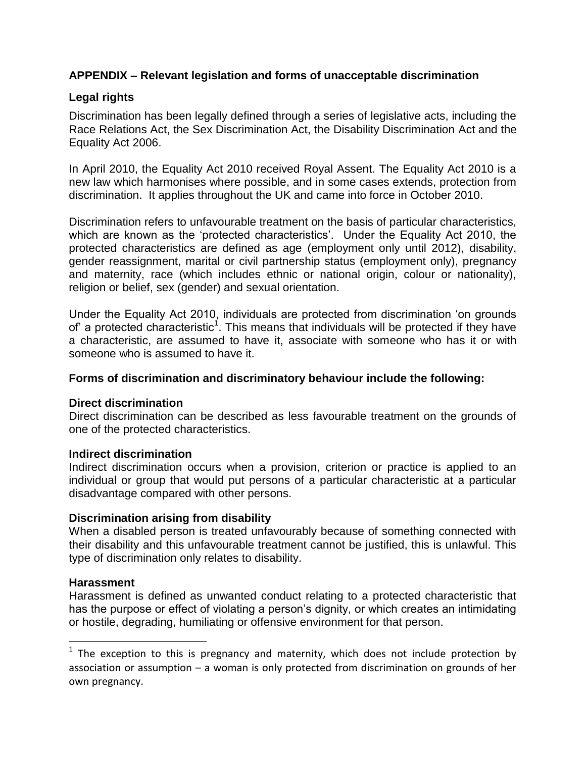## **APPENDIX – Relevant legislation and forms of unacceptable discrimination**

## **Legal rights**

Discrimination has been legally defined through a series of legislative acts, including the Race Relations Act, the Sex Discrimination Act, the Disability Discrimination Act and the Equality Act 2006.

In April 2010, the Equality Act 2010 received Royal Assent. The Equality Act 2010 is a new law which harmonises where possible, and in some cases extends, protection from discrimination. It applies throughout the UK and came into force in October 2010.

Discrimination refers to unfavourable treatment on the basis of particular characteristics, which are known as the 'protected characteristics'. Under the Equality Act 2010, the protected characteristics are defined as age (employment only until 2012), disability, gender reassignment, marital or civil partnership status (employment only), pregnancy and maternity, race (which includes ethnic or national origin, colour or nationality), religion or belief, sex (gender) and sexual orientation.

Under the Equality Act 2010, individuals are protected from discrimination 'on grounds of' a protected characteristic<sup>1</sup>. This means that individuals will be protected if they have a characteristic, are assumed to have it, associate with someone who has it or with someone who is assumed to have it.

## **Forms of discrimination and discriminatory behaviour include the following:**

## **Direct discrimination**

Direct discrimination can be described as less favourable treatment on the grounds of one of the protected characteristics.

## **Indirect discrimination**

Indirect discrimination occurs when a provision, criterion or practice is applied to an individual or group that would put persons of a particular characteristic at a particular disadvantage compared with other persons.

## **Discrimination arising from disability**

When a disabled person is treated unfavourably because of something connected with their disability and this unfavourable treatment cannot be justified, this is unlawful. This type of discrimination only relates to disability.

## **Harassment**

 $\overline{a}$ 

Harassment is defined as unwanted conduct relating to a protected characteristic that has the purpose or effect of violating a person's dignity, or which creates an intimidating or hostile, degrading, humiliating or offensive environment for that person.

 $1$  The exception to this is pregnancy and maternity, which does not include protection by association or assumption – a woman is only protected from discrimination on grounds of her own pregnancy.